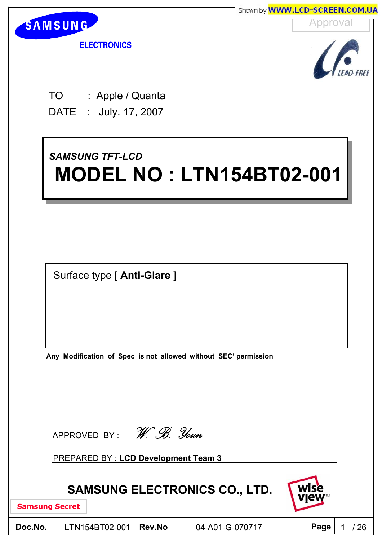

## *SAMSUNG TFT-LCD SAMSUNG TFT-LCD* **MODEL NO : LTN154BT02-001 MODEL NO : LTN154BT02-001**

Surface type [ **Anti-Glare** ]

**Any Modification of Spec is not allowed without SEC' permission**

| APPROVED BY: | W. B. Youn |  |
|--------------|------------|--|
|              |            |  |

PREPARED BY : **LCD Development Team 3**

## **SAMSUNG ELECTRONICS CO., LTD.**

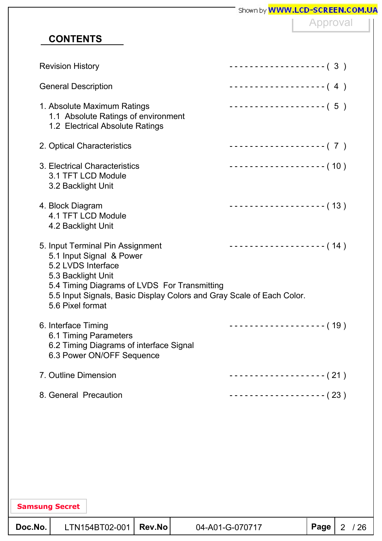| <b>CONTENTS</b><br><b>Revision History</b><br><b>General Description</b><br>1. Absolute Maximum Ratings<br>1.1 Absolute Ratings of environment<br>1.2 Electrical Absolute Ratings<br>2. Optical Characteristics<br>3. Electrical Characteristics<br>3.1 TFT LCD Module<br>3.2 Backlight Unit | Approval<br>------------------- (3)<br>-------------------- (4)<br>$------------(-5)$<br>------------------- (7) |
|----------------------------------------------------------------------------------------------------------------------------------------------------------------------------------------------------------------------------------------------------------------------------------------------|------------------------------------------------------------------------------------------------------------------|
|                                                                                                                                                                                                                                                                                              |                                                                                                                  |
|                                                                                                                                                                                                                                                                                              |                                                                                                                  |
|                                                                                                                                                                                                                                                                                              |                                                                                                                  |
|                                                                                                                                                                                                                                                                                              |                                                                                                                  |
|                                                                                                                                                                                                                                                                                              |                                                                                                                  |
|                                                                                                                                                                                                                                                                                              |                                                                                                                  |
|                                                                                                                                                                                                                                                                                              | ------------------- (10)                                                                                         |
| 4. Block Diagram<br>4.1 TFT LCD Module<br>4.2 Backlight Unit                                                                                                                                                                                                                                 | $------------(13)$                                                                                               |
| 5. Input Terminal Pin Assignment<br>5.1 Input Signal & Power<br>5.2 LVDS Interface<br>5.3 Backlight Unit<br>5.4 Timing Diagrams of LVDS For Transmitting<br>5.5 Input Signals, Basic Display Colors and Gray Scale of Each Color.<br>5.6 Pixel format                                        | ------------------- (14)                                                                                         |
| 6. Interface Timing<br>6.1 Timing Parameters<br>6.2 Timing Diagrams of interface Signal<br>6.3 Power ON/OFF Sequence                                                                                                                                                                         | -------------------- (19)                                                                                        |
| 7. Outline Dimension                                                                                                                                                                                                                                                                         | ------------------- (21)                                                                                         |
| 8. General Precaution                                                                                                                                                                                                                                                                        | $------------(23)$                                                                                               |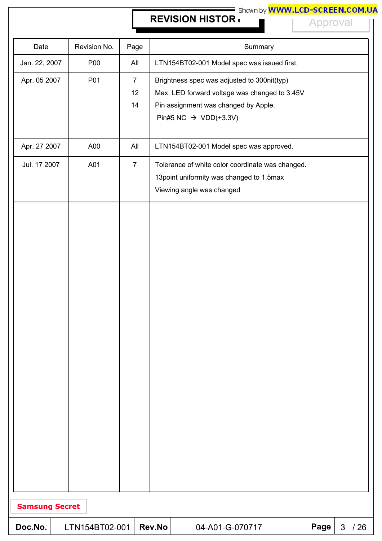# **REVISION HISTORY REVISION HISTORY REVISION HISTORY**

Approval

| Date                  | Revision No.   | Page                       |        | Summary                                                                                                                                                                   |      |                |     |
|-----------------------|----------------|----------------------------|--------|---------------------------------------------------------------------------------------------------------------------------------------------------------------------------|------|----------------|-----|
| Jan. 22, 2007         | P00            | All                        |        | LTN154BT02-001 Model spec was issued first.                                                                                                                               |      |                |     |
| Apr. 05 2007          | P01            | $\overline{7}$<br>12<br>14 |        | Brightness spec was adjusted to 300nit(typ)<br>Max. LED forward voltage was changed to 3.45V<br>Pin assignment was changed by Apple.<br>Pin#5 NC $\rightarrow$ VDD(+3.3V) |      |                |     |
| Apr. 27 2007          | A00            | All                        |        | LTN154BT02-001 Model spec was approved.                                                                                                                                   |      |                |     |
| Jul. 17 2007          | A01            | $\overline{7}$             |        | Tolerance of white color coordinate was changed.<br>13 point uniformity was changed to 1.5 max<br>Viewing angle was changed                                               |      |                |     |
|                       |                |                            |        |                                                                                                                                                                           |      |                |     |
| <b>Samsung Secret</b> |                |                            |        |                                                                                                                                                                           |      |                |     |
| Doc.No.               | LTN154BT02-001 |                            | Rev.No | 04-A01-G-070717                                                                                                                                                           | Page | $\mathfrak{S}$ | /26 |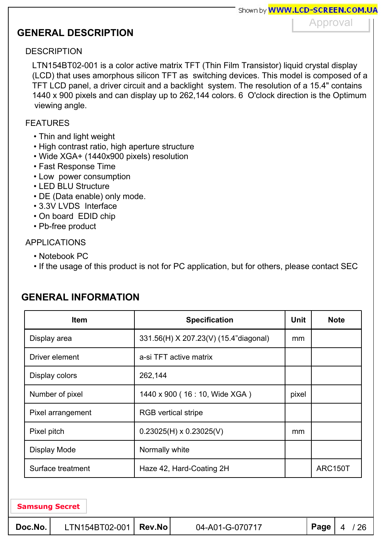## **GENERAL DESCRIPTION**

Approval

#### **DESCRIPTION**

LTN154BT02-001 is a color active matrix TFT (Thin Film Transistor) liquid crystal display (LCD) that uses amorphous silicon TFT as switching devices. This model is composed of a TFT LCD panel, a driver circuit and a backlight system. The resolution of a 15.4" contains 1440 x 900 pixels and can display up to 262,144 colors. 6 O'clock direction is the Optimum viewing angle.

#### FEATURES

- Thin and light weight
- High contrast ratio, high aperture structure
- Wide XGA+ (1440x900 pixels) resolution
- Fast Response Time
- Low power consumption
- LED BLU Structure
- DE (Data enable) only mode.
- 3.3V LVDS Interface
- On board EDID chip
- Pb-free product

#### APPLICATIONS

- Notebook PC
- If the usage of this product is not for PC application, but for others, please contact SEC

| <b>Item</b><br><b>Specification</b> |                                       |       | <b>Note</b> |
|-------------------------------------|---------------------------------------|-------|-------------|
| Display area                        | 331.56(H) X 207.23(V) (15.4"diagonal) | mm    |             |
| Driver element                      | a-si TFT active matrix                |       |             |
| Display colors                      | 262,144                               |       |             |
| Number of pixel                     | 1440 x 900 (16 : 10, Wide XGA)        | pixel |             |
| Pixel arrangement                   | <b>RGB</b> vertical stripe            |       |             |
| Pixel pitch                         | $0.23025(H) \times 0.23025(V)$        | mm    |             |
| Display Mode                        | Normally white                        |       |             |
| Surface treatment                   | Haze 42, Hard-Coating 2H              |       | ARC150T     |

## **GENERAL INFORMATION**

| Doc.No. | $LTN154BT02-001$   Rev.No |  | 04-A01-G-070717 | $ $ Page $ $ 4 / 26 |  |  |
|---------|---------------------------|--|-----------------|---------------------|--|--|
|---------|---------------------------|--|-----------------|---------------------|--|--|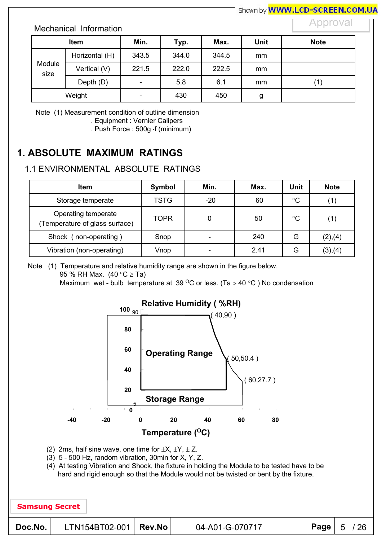#### Mechanical Information

#### Approval

| <b>Item</b>    |                | Min.                     | Typ.  | Max.  | <b>Unit</b> | <b>Note</b> |
|----------------|----------------|--------------------------|-------|-------|-------------|-------------|
|                | Horizontal (H) | 343.5                    | 344.0 | 344.5 | mm          |             |
| Module<br>size | Vertical (V)   | 221.5                    | 222.0 | 222.5 | mm          |             |
|                | Depth (D)      | $\overline{\phantom{0}}$ | 5.8   | 6.1   | mm          | (1)         |
|                | Weight         | -                        | 430   | 450   | g           |             |

Note (1) Measurement condition of outline dimension

. Equipment : Vernier Calipers

. Push Force : 500g f (minimum)

## **1. ABSOLUTE MAXIMUM RATINGS**

#### 1.1 ENVIRONMENTAL ABSOLUTE RATINGS

| <b>Item</b>                                           | Symbol      | Min.                     | Max. | Unit        | <b>Note</b> |
|-------------------------------------------------------|-------------|--------------------------|------|-------------|-------------|
| Storage temperate                                     | <b>TSTG</b> | $-20$                    | 60   | $^{\circ}C$ |             |
| Operating temperate<br>(Temperature of glass surface) | <b>TOPR</b> |                          | 50   | $^{\circ}C$ |             |
| Shock (non-operating)                                 | Snop        | $\overline{\phantom{0}}$ | 240  | G           | (2),(4)     |
| Vibration (non-operating)                             | Vnop        | $\overline{\phantom{0}}$ | 2.41 | G           | (3),(4)     |

Note (1) Temperature and relative humidity range are shown in the figure below.

95 % RH Max.  $(40 °C \geq Ta)$ 

Maximum wet - bulb temperature at 39 <sup>o</sup>C or less. (Ta > 40 °C) No condensation



(2) 2ms, half sine wave, one time for  $\pm X$ ,  $\pm Y$ ,  $\pm Z$ .

(3) 5 - 500 Hz, random vibration, 30min for X, Y, Z.

(4) At testing Vibration and Shock, the fixture in holding the Module to be tested have to be hard and rigid enough so that the Module would not be twisted or bent by the fixture.

| <b>Samsung Secret</b> |                         |                 |           |    |  |
|-----------------------|-------------------------|-----------------|-----------|----|--|
| Doc.No.               | $LTN154BT02-001$ Rev.No | 04-A01-G-070717 | Page $ 5$ | 26 |  |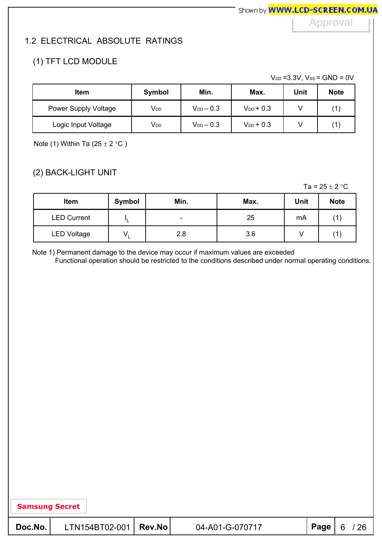Approval

#### 1.2 ELECTRICAL ABSOLUTE RATINGS

#### (1) TFT LCD MODULE

 $V_{DD} = 3.3V$ ,  $V_{SS} = GND = 0V$ 

| <b>Item</b>          | Symbol                | Min.             | Max.           | Unit | <b>Note</b> |
|----------------------|-----------------------|------------------|----------------|------|-------------|
| Power Supply Voltage | <b>V<sub>DD</sub></b> | $V_{DD}$ $-$ 0.3 | $V_{DD}$ + 0.3 |      |             |
| Logic Input Voltage  | V <sub>DD</sub>       | $V_{DD}$ $-$ 0.3 | $V_{DD}$ + 0.3 |      |             |

Note (1) Within Ta  $(25 \pm 2 \degree C)$ 

#### (2) BACK-LIGHT UNIT

Ta =  $25 \pm 2$  °C

| Item               | Symbol   | Min. | Max. | Unit | <b>Note</b> |
|--------------------|----------|------|------|------|-------------|
| <b>LED Current</b> |          | -    | 25   | mA   |             |
| <b>LED Voltage</b> | <b>.</b> | 2.8  | 3.6  |      |             |

Note 1) Permanent damage to the device may occur if maximum values are exceeded

Functional operation should be restricted to the conditions described under normal operating conditions.

| Doc.No. | LTN154BT02-001   Rev.No | 04-A01-G-070717 | $ $ Page $ $ 6 / 26 |
|---------|-------------------------|-----------------|---------------------|
|         |                         |                 |                     |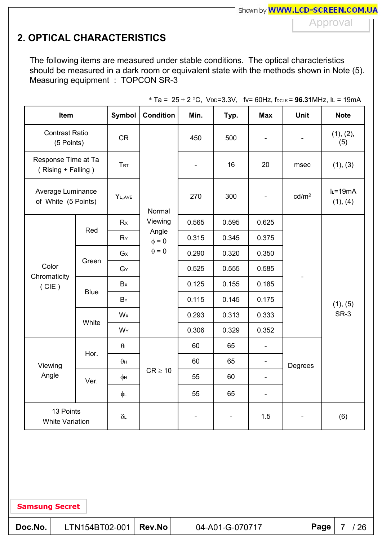## **2. OPTICAL CHARACTERISTICS**

The following items are measured under stable conditions. The optical characteristics should be measured in a dark room or equivalent state with the methods shown in Note (5). Measuring equipment : TOPCON SR-3

| Item                                      |             | <b>Symbol</b>    | <b>Condition</b>    | Min.           | Typ.                     | <b>Max</b>               | <b>Unit</b>       | <b>Note</b>              |  |
|-------------------------------------------|-------------|------------------|---------------------|----------------|--------------------------|--------------------------|-------------------|--------------------------|--|
| <b>Contrast Ratio</b><br>(5 Points)       |             | <b>CR</b>        |                     | 450            | 500                      |                          |                   | (1), (2),<br>(5)         |  |
| Response Time at Ta<br>(Rising + Falling) |             | <b>TRT</b>       |                     |                | 16                       | 20                       | msec              | (1), (3)                 |  |
| Average Luminance<br>of White (5 Points)  |             | YL, AVE          | Normal              | 270            | 300                      | $\blacksquare$           | cd/m <sup>2</sup> | $I_L = 19mA$<br>(1), (4) |  |
|                                           | Red         | Rx               | Viewing             | 0.565          | 0.595                    | 0.625                    |                   |                          |  |
|                                           |             | RY               | Angle<br>$\Phi = 0$ | 0.315          | 0.345                    | 0.375                    |                   | (1), (5)<br>SR-3         |  |
|                                           | Green       | G <sub>x</sub>   | $\theta = 0$        | 0.290          | 0.320                    | 0.350                    |                   |                          |  |
| Color                                     |             | $G_Y$            |                     | 0.525          | 0.555                    | 0.585                    |                   |                          |  |
| Chromaticity<br>(CIE)                     | <b>Blue</b> | Bx               |                     | 0.125          | 0.155                    | 0.185                    |                   |                          |  |
|                                           |             | $B_Y$            |                     | 0.115          | 0.145                    | 0.175                    |                   |                          |  |
|                                           |             | Wx               |                     | 0.293          | 0.313                    | 0.333                    |                   |                          |  |
|                                           | White       | WY               |                     | 0.306          | 0.329                    | 0.352                    |                   |                          |  |
|                                           |             | $\theta$ L       |                     | 60             | 65                       | $\overline{\phantom{a}}$ |                   |                          |  |
| Viewing                                   | Hor.        | $\theta$ H       |                     | 60             | 65                       | $\overline{\phantom{0}}$ | Degrees           |                          |  |
| Angle                                     | Ver.        | φн               | $CR \geq 10$        | 55             | 60                       | $\blacksquare$           |                   |                          |  |
|                                           |             | φL               |                     | 55             | 65                       | $\overline{\phantom{0}}$ |                   |                          |  |
| 13 Points<br><b>White Variation</b>       |             | $\delta\text{L}$ |                     | $\blacksquare$ | $\overline{\phantom{a}}$ | 1.5                      |                   | (6)                      |  |

\* Ta =  $25 \pm 2$  °C, V<sub>DD</sub>=3.3V, fv= 60Hz, f<sub>DCLK</sub> = **96.31**MHz, IL = 19mA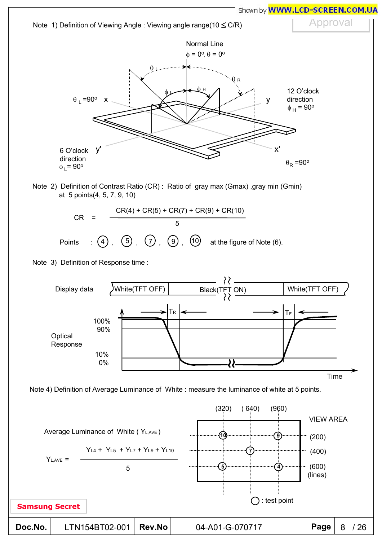

Approval



Note 2) Definition of Contrast Ratio (CR) : Ratio of gray max (Gmax) ,gray min (Gmin) at 5 points(4, 5, 7, 9, 10)



Note 3) Definition of Response time :



| Doc.No. | LTN154BT02-001   Rev.No |  | 04-A01-G-070717 | $ $ Page $  8 \t/26$ |  |  |
|---------|-------------------------|--|-----------------|----------------------|--|--|
|---------|-------------------------|--|-----------------|----------------------|--|--|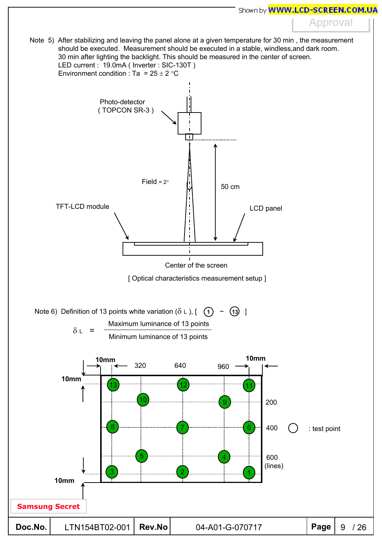Approval

Note 5) After stabilizing and leaving the panel alone at a given temperature for 30 min , the measurement should be executed. Measurement should be executed in a stable, windless,and dark room. 30 min after lighting the backlight. This should be measured in the center of screen. LED current : 19.0mA ( Inverter : SIC-130T ) Environment condition : Ta =  $25 \pm 2$  °C

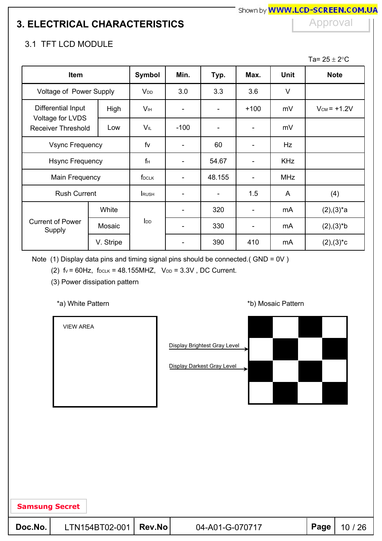## **3. ELECTRICAL CHARACTERISTICS**

#### Approval

#### 3.1 TFT LCD MODULE

Ta=  $25 \pm 2$ °C

| Item                                   |                        | Symbol                 | Min.           | Typ.   | Max.                     | <b>Unit</b> | <b>Note</b>      |
|----------------------------------------|------------------------|------------------------|----------------|--------|--------------------------|-------------|------------------|
| Voltage of Power Supply                |                        | V <sub>DD</sub>        | 3.0            | 3.3    | 3.6                      | $\vee$      |                  |
| Differential Input<br>Voltage for LVDS | High                   | <b>V</b> <sub>IH</sub> | -              | -      | $+100$                   | mV          | $V_{CM} = +1.2V$ |
| <b>Receiver Threshold</b>              | Low                    | VIL                    | $-100$         | -      |                          | mV          |                  |
|                                        | <b>Vsync Frequency</b> |                        |                | 60     |                          | Hz          |                  |
| <b>Hsync Frequency</b>                 |                        | fн                     | -              | 54.67  | ۰                        | <b>KHz</b>  |                  |
| Main Frequency                         |                        | f <sub>DCLK</sub>      |                | 48.155 | $\overline{\phantom{a}}$ | <b>MHz</b>  |                  |
| <b>Rush Current</b>                    |                        | <b>RUSH</b>            |                | -      | 1.5                      | A           | (4)              |
|                                        | White                  |                        |                | 320    | ۰                        | mA          | $(2),(3)^{*}a$   |
| <b>Current of Power</b><br>Supply      | Mosaic                 | I <sub>DD</sub>        | $\blacksquare$ | 330    | $\overline{\phantom{0}}$ | mA          | $(2),(3)*b$      |
|                                        | V. Stripe              |                        |                | 390    | 410                      | mA          | $(2),(3)^*c$     |

Note (1) Display data pins and timing signal pins should be connected.( GND = 0V )

(2)  $fv = 60Hz$ ,  $f_{DCLK} = 48.155MHz$ ,  $V_{DD} = 3.3V$ , DC Current.

(3) Power dissipation pattern

VIEW AREA

**Samsung Secret**

#### \*a) White Pattern **\*b**) Mosaic Pattern **\*b**)



| Doc.No. | LTN154BT02-001   Rev.No | 04-A01-G-070717 | Page | 10 $/$ |
|---------|-------------------------|-----------------|------|--------|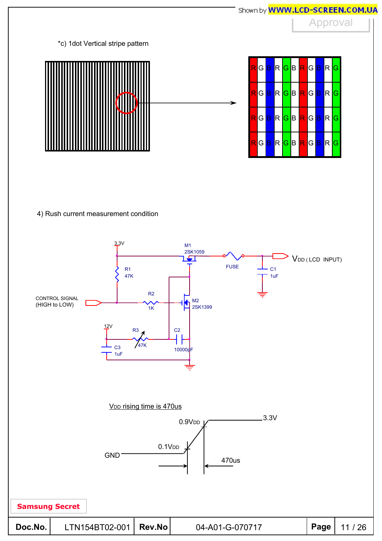



4) Rush current measurement condition

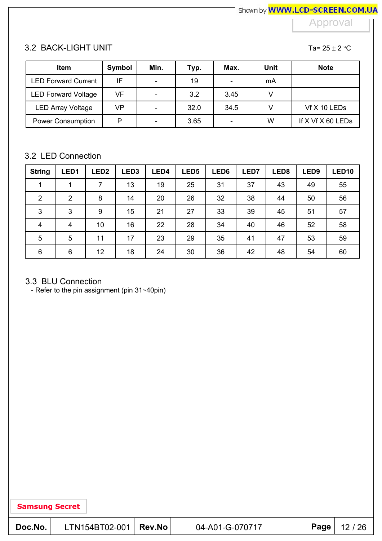## 3.2 BACK-LIGHT UNIT

Ta=  $25 \pm 2$  °C

| <b>Item</b>                | Symbol | Min.                     | Typ. | Max. | <b>Unit</b> | <b>Note</b>       |
|----------------------------|--------|--------------------------|------|------|-------------|-------------------|
| <b>LED Forward Current</b> | IF     | $\overline{\phantom{0}}$ | 19   |      | mA          |                   |
| <b>LED Forward Voltage</b> | VF     | $\overline{\phantom{a}}$ | 3.2  | 3.45 |             |                   |
| <b>LED Array Voltage</b>   | VP     | $\overline{\phantom{a}}$ | 32.0 | 34.5 |             | Vf X 10 LEDs      |
| <b>Power Consumption</b>   | P      | $\overline{\phantom{0}}$ | 3.65 |      | W           | If X Vf X 60 LEDs |

#### 3.2 LED Connection

| <b>String</b>           | LED <sub>1</sub> | LED <sub>2</sub> | LED <sub>3</sub> | LED4 | LED <sub>5</sub> | LED6 | LED7 | LED <sub>8</sub> | LED <sub>9</sub> | LED <sub>10</sub> |
|-------------------------|------------------|------------------|------------------|------|------------------|------|------|------------------|------------------|-------------------|
|                         |                  | 7                | 13               | 19   | 25               | 31   | 37   | 43               | 49               | 55                |
| $\overline{2}$          | $\overline{2}$   | 8                | 14               | 20   | 26               | 32   | 38   | 44               | 50               | 56                |
| 3                       | 3                | 9                | 15               | 21   | 27               | 33   | 39   | 45               | 51               | 57                |
| $\overline{\mathbf{4}}$ | 4                | 10               | 16               | 22   | 28               | 34   | 40   | 46               | 52               | 58                |
| $\overline{5}$          | 5                | 11               | 17               | 23   | 29               | 35   | 41   | 47               | 53               | 59                |
| 6                       | 6                | 12               | 18               | 24   | 30               | 36   | 42   | 48               | 54               | 60                |

#### 3.3 BLU Connection

- Refer to the pin assignment (pin 31~40pin)

| 04-A01-G-070717 |                         | $ $ Page $ $ 12 / 26 |
|-----------------|-------------------------|----------------------|
|                 | LTN154BT02-001   Rev.No |                      |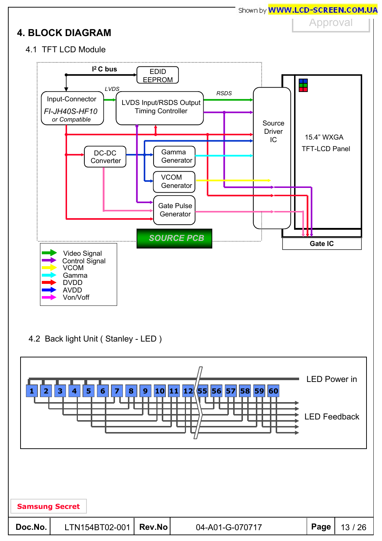

4.2 Back light Unit ( Stanley - LED )

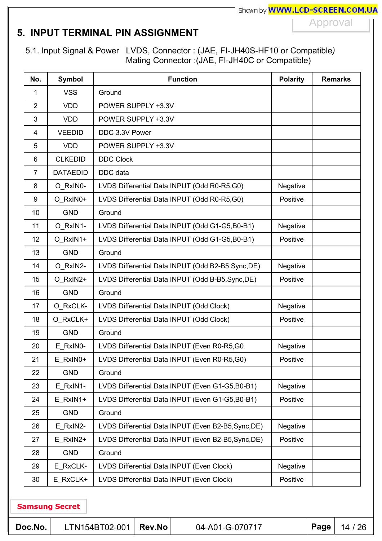## **5. INPUT TERMINAL PIN ASSIGNMENT**

5.1. Input Signal & Power LVDS, Connector : (JAE, FI-JH40S-HF10 or Compatible*)* Mating Connector :(JAE, FI-JH40C or Compatible)

| No.            | <b>Symbol</b>   | <b>Function</b>                                     | <b>Polarity</b> | <b>Remarks</b> |
|----------------|-----------------|-----------------------------------------------------|-----------------|----------------|
| 1              | <b>VSS</b>      | Ground                                              |                 |                |
| $\overline{2}$ | <b>VDD</b>      | POWER SUPPLY +3.3V                                  |                 |                |
| 3              | <b>VDD</b>      | POWER SUPPLY +3.3V                                  |                 |                |
| 4              | <b>VEEDID</b>   | DDC 3.3V Power                                      |                 |                |
| 5              | <b>VDD</b>      | POWER SUPPLY +3.3V                                  |                 |                |
| 6              | <b>CLKEDID</b>  | <b>DDC Clock</b>                                    |                 |                |
| $\overline{7}$ | <b>DATAEDID</b> | DDC data                                            |                 |                |
| 8              | O RxIN0-        | LVDS Differential Data INPUT (Odd R0-R5,G0)         | Negative        |                |
| 9              | O_RxIN0+        | LVDS Differential Data INPUT (Odd R0-R5,G0)         | Positive        |                |
| 10             | <b>GND</b>      | Ground                                              |                 |                |
| 11             | O RxIN1-        | LVDS Differential Data INPUT (Odd G1-G5,B0-B1)      | Negative        |                |
| 12             | O RxIN1+        | LVDS Differential Data INPUT (Odd G1-G5,B0-B1)      | Positive        |                |
| 13             | <b>GND</b>      | Ground                                              |                 |                |
| 14             | O_RxIN2-        | LVDS Differential Data INPUT (Odd B2-B5, Sync, DE)  | Negative        |                |
| 15             | O_RxIN2+        | LVDS Differential Data INPUT (Odd B-B5, Sync, DE)   | Positive        |                |
| 16             | <b>GND</b>      | Ground                                              |                 |                |
| 17             | O_RxCLK-        | LVDS Differential Data INPUT (Odd Clock)            | Negative        |                |
| 18             | O RxCLK+        | LVDS Differential Data INPUT (Odd Clock)            | Positive        |                |
| 19             | <b>GND</b>      | Ground                                              |                 |                |
| 20             | E_RxIN0-        | LVDS Differential Data INPUT (Even R0-R5,G0         | Negative        |                |
| 21             | E_RxIN0+        | LVDS Differential Data INPUT (Even R0-R5,G0)        | Positive        |                |
| 22             | <b>GND</b>      | Ground                                              |                 |                |
| 23             | E RxIN1-        | LVDS Differential Data INPUT (Even G1-G5,B0-B1)     | <b>Negative</b> |                |
| 24             | E RxIN1+        | LVDS Differential Data INPUT (Even G1-G5, B0-B1)    | Positive        |                |
| 25             | <b>GND</b>      | Ground                                              |                 |                |
| 26             | E RxIN2-        | LVDS Differential Data INPUT (Even B2-B5, Sync, DE) | <b>Negative</b> |                |
| 27             | E RxIN2+        | LVDS Differential Data INPUT (Even B2-B5, Sync, DE) | Positive        |                |
| 28             | <b>GND</b>      | Ground                                              |                 |                |
| 29             | E_RxCLK-        | LVDS Differential Data INPUT (Even Clock)           | <b>Negative</b> |                |
| 30             | E RxCLK+        | LVDS Differential Data INPUT (Even Clock)           | Positive        |                |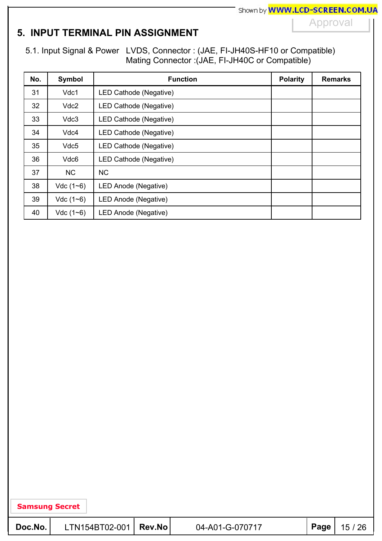## **5. INPUT TERMINAL PIN ASSIGNMENT**

5.1. Input Signal & Power LVDS, Connector : (JAE, FI-JH40S-HF10 or Compatible) Mating Connector :(JAE, FI-JH40C or Compatible)

| No. | <b>Symbol</b>    | <b>Function</b>        | <b>Polarity</b> | <b>Remarks</b> |
|-----|------------------|------------------------|-----------------|----------------|
| 31  | Vdc1             | LED Cathode (Negative) |                 |                |
| 32  | Vdc <sub>2</sub> | LED Cathode (Negative) |                 |                |
| 33  | Vdc3             | LED Cathode (Negative) |                 |                |
| 34  | Vdc4             | LED Cathode (Negative) |                 |                |
| 35  | Vdc <sub>5</sub> | LED Cathode (Negative) |                 |                |
| 36  | Vdc6             | LED Cathode (Negative) |                 |                |
| 37  | <b>NC</b>        | <b>NC</b>              |                 |                |
| 38  | $Vdc(1-6)$       | LED Anode (Negative)   |                 |                |
| 39  | $Vdc(1-6)$       | LED Anode (Negative)   |                 |                |
| 40  | $Vdc(1-6)$       | LED Anode (Negative)   |                 |                |

| $ $ Page $ $ 15 / 26<br>$LTN154BT02-001$ Rev.No<br>Doc.No.<br>04-A01-G-070717 |
|-------------------------------------------------------------------------------|
|-------------------------------------------------------------------------------|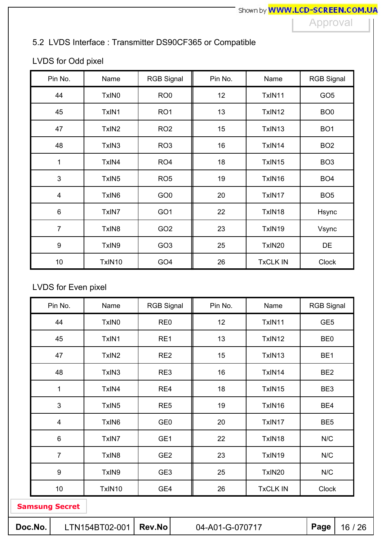## 5.2 LVDS Interface : Transmitter DS90CF365 or Compatible

## LVDS for Odd pixel

| Pin No.                 | Name              | <b>RGB Signal</b> | Pin No. | Name            | <b>RGB Signal</b> |
|-------------------------|-------------------|-------------------|---------|-----------------|-------------------|
| 44                      | TxIN <sub>0</sub> | RO <sub>0</sub>   | 12      | TxIN11          | GO <sub>5</sub>   |
| 45                      | TxIN1             | RO <sub>1</sub>   | 13      | TxIN12          | BO <sub>0</sub>   |
| 47                      | TxIN <sub>2</sub> | RO <sub>2</sub>   | 15      | TxIN13          | BO <sub>1</sub>   |
| 48                      | TxIN3             | RO <sub>3</sub>   | 16      | TxIN14          | BO <sub>2</sub>   |
| 1                       | TxIN4             | RO <sub>4</sub>   | 18      | TxIN15          | BO <sub>3</sub>   |
| 3                       | TxIN <sub>5</sub> | RO <sub>5</sub>   | 19      | TxIN16          | BO <sub>4</sub>   |
| $\overline{\mathbf{4}}$ | TxIN <sub>6</sub> | GO <sub>0</sub>   | 20      | TxIN17          | BO <sub>5</sub>   |
| $\,6\,$                 | TxIN7             | GO <sub>1</sub>   | 22      | TxIN18          | Hsync             |
| $\overline{7}$          | TxIN <sub>8</sub> | GO <sub>2</sub>   | 23      | TxIN19          | Vsync             |
| $\boldsymbol{9}$        | TxIN9             | GO <sub>3</sub>   | 25      | TxIN20          | DE                |
| 10                      | TxIN10            | GO <sub>4</sub>   | 26      | <b>TxCLK IN</b> | <b>Clock</b>      |

## LVDS for Even pixel

| Pin No.          | Name              | <b>RGB Signal</b> | Pin No. | Name            | <b>RGB Signal</b> |
|------------------|-------------------|-------------------|---------|-----------------|-------------------|
| 44               | TxIN <sub>0</sub> | RE <sub>0</sub>   | 12      | TxIN11          | GE <sub>5</sub>   |
| 45               | TxIN1             | RE1               | 13      | TxIN12          | BE <sub>0</sub>   |
| 47               | TxIN <sub>2</sub> | RE <sub>2</sub>   | 15      | TxIN13          | BE <sub>1</sub>   |
| 48               | TxIN3             | RE3               | 16      | TxIN14          | BE <sub>2</sub>   |
| 1                | TxIN4             | RE4               | 18      | TxIN15          | BE3               |
| $\mathbf{3}$     | TxIN <sub>5</sub> | RE <sub>5</sub>   | 19      | TxIN16          | BE4               |
| $\overline{4}$   | TxIN <sub>6</sub> | GE <sub>0</sub>   | 20      | TxIN17          | BE <sub>5</sub>   |
| $\,6$            | TxIN7             | GE1               | 22      | TxIN18          | N/C               |
| $\overline{7}$   | TxIN <sub>8</sub> | GE <sub>2</sub>   | 23      | TxIN19          | N/C               |
| $\boldsymbol{9}$ | TxIN9             | GE <sub>3</sub>   | 25      | TxIN20          | N/C               |
| 10               | TxIN10            | GE4               | 26      | <b>TxCLK IN</b> | <b>Clock</b>      |
|                  |                   |                   |         |                 |                   |

| Doc.No. | $LTN154BT02-001$ Rev.No |  | 04-A01-G-070717 |  | $ $ Page $ $ 16 / 26 |
|---------|-------------------------|--|-----------------|--|----------------------|
|---------|-------------------------|--|-----------------|--|----------------------|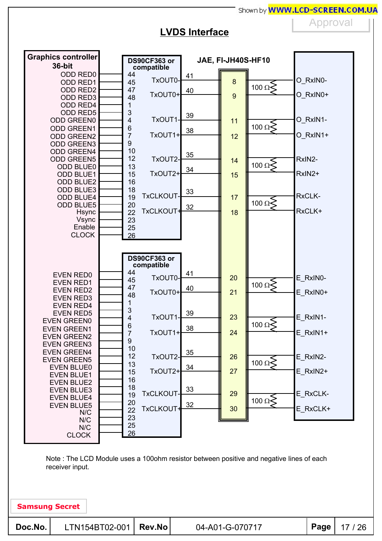### **LVDS Interface**

Approval



Note : The LCD Module uses a 100ohm resistor between positive and negative lines of each receiver input.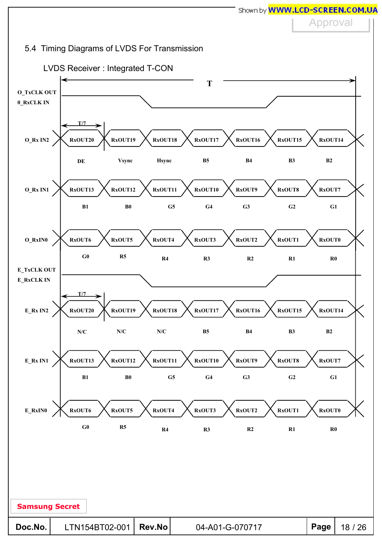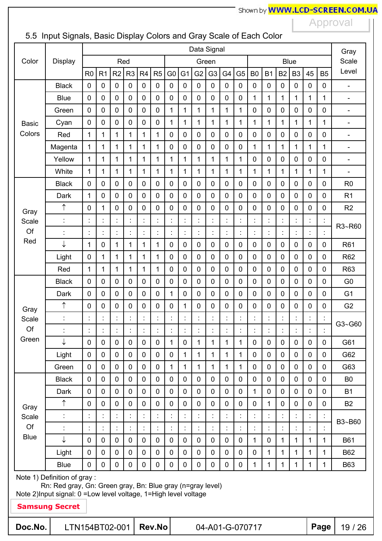Approval

## 5.5 Input Signals, Basic Display Colors and Gray Scale of Each Color

| Data Signal                                                                                                                                                           |                       |                |                |                |                |                |                      |                |                |                      |                | Gray                       |                |                 |                |                      |                      |                |                |                              |
|-----------------------------------------------------------------------------------------------------------------------------------------------------------------------|-----------------------|----------------|----------------|----------------|----------------|----------------|----------------------|----------------|----------------|----------------------|----------------|----------------------------|----------------|-----------------|----------------|----------------------|----------------------|----------------|----------------|------------------------------|
| Color                                                                                                                                                                 | <b>Display</b>        |                |                |                | Red            |                |                      |                |                |                      | Green          |                            |                |                 |                |                      | <b>Blue</b>          |                |                | Scale                        |
|                                                                                                                                                                       |                       | R <sub>0</sub> | R <sub>1</sub> | R <sub>2</sub> | R <sub>3</sub> | R <sub>4</sub> | R <sub>5</sub>       | G <sub>0</sub> | G <sub>1</sub> | G <sub>2</sub>       | G <sub>3</sub> | G4                         | G <sub>5</sub> | B <sub>0</sub>  | <b>B1</b>      | B <sub>2</sub>       | B <sub>3</sub>       | 45             | <b>B5</b>      | Level                        |
|                                                                                                                                                                       | <b>Black</b>          | $\mathbf 0$    | $\mathbf 0$    | 0              | $\mathbf 0$    | $\mathbf 0$    | $\mathbf 0$          | 0              | 0              | 0                    | $\mathbf 0$    | 0                          | 0              | 0               | $\mathbf 0$    | $\mathbf 0$          | 0                    | 0              | 0              | $\overline{\phantom{a}}$     |
|                                                                                                                                                                       | <b>Blue</b>           | 0              | $\mathbf 0$    | $\mathbf 0$    | $\overline{0}$ | $\mathbf 0$    | $\mathbf 0$          | $\overline{0}$ | $\mathbf 0$    | 0                    | $\mathbf 0$    | $\mathbf 0$                | 0              | $\overline{1}$  | $\mathbf 1$    | $\mathbf{1}$         | $\mathbf{1}$         | $\overline{1}$ | $\mathbf{1}$   | $\overline{\phantom{0}}$     |
|                                                                                                                                                                       | Green                 | $\overline{0}$ | $\mathbf 0$    | 0              | $\overline{0}$ | $\mathbf 0$    | $\mathbf 0$          | 1              | 1              | 1                    | 1              | $\mathbf{1}$               | 1              | $\mathbf 0$     | $\mathbf 0$    | $\mathbf 0$          | $\mathbf 0$          | $\mathbf 0$    | 0              | $\qquad \qquad \blacksquare$ |
| <b>Basic</b>                                                                                                                                                          | Cyan                  | 0              | $\mathbf 0$    | 0              | $\mathbf 0$    | $\mathbf 0$    | $\mathbf 0$          | 1              | 1              | 1                    | 1              | $\mathbf{1}$               | $\mathbf{1}$   | 1               | 1              | 1                    | 1                    | 1              | 1              | $\overline{\phantom{0}}$     |
| Colors                                                                                                                                                                | Red                   | $\mathbf{1}$   | $\mathbf{1}$   | 1              | $\mathbf{1}$   | $\mathbf{1}$   | $\mathbf{1}$         | $\overline{0}$ | $\mathbf 0$    | $\mathbf 0$          | $\mathbf 0$    | $\mathbf 0$                | $\overline{0}$ | $\mathbf 0$     | $\overline{0}$ | $\mathbf 0$          | $\overline{0}$       | $\mathbf 0$    | $\overline{0}$ | $\blacksquare$               |
|                                                                                                                                                                       | Magenta               | 1              | 1              | 1              | 1              | 1              | $\mathbf{1}$         | $\mathbf 0$    | $\mathbf 0$    | 0                    | $\mathbf 0$    | $\overline{0}$             | 0              | 1               | 1              | 1                    | 1                    | 1              | $\mathbf{1}$   | $\overline{a}$               |
|                                                                                                                                                                       | Yellow                | 1              | 1              | 1              | 1              | 1              | 1                    | 1              | 1              | 1                    | 1              | 1                          | 1              | 0               | $\mathbf 0$    | 0                    | $\mathbf 0$          | $\mathbf 0$    | 0              | $\overline{\phantom{a}}$     |
|                                                                                                                                                                       | White                 | $\mathbf{1}$   | 1              | $\mathbf{1}$   | 1              | $\mathbf{1}$   | $\mathbf{1}$         | 1              | $\mathbf{1}$   | $\mathbf 1$          | 1              | $\mathbf{1}$               | 1              | 1               | 1              | 1                    | 1                    | $\mathbf{1}$   | $\mathbf{1}$   | $\overline{\phantom{0}}$     |
|                                                                                                                                                                       | <b>Black</b>          | 0              | $\mathbf 0$    | 0              | 0              | $\mathbf 0$    | $\mathbf 0$          | $\mathbf 0$    | 0              | 0                    | $\mathbf 0$    | $\overline{0}$             | 0              | $\mathbf 0$     | $\mathbf 0$    | $\mathbf 0$          | $\overline{0}$       | $\overline{0}$ | 0              | R <sub>0</sub>               |
|                                                                                                                                                                       | Dark                  | 1              | $\mathbf 0$    | 0              | $\mathbf 0$    | $\mathbf 0$    | $\mathbf 0$          | $\mathbf 0$    | 0              | $\pmb{0}$            | $\mathbf 0$    | $\mathbf 0$                | 0              | $\mathbf 0$     | $\mathbf 0$    | $\mathbf 0$          | $\mathbf 0$          | 0              | 0              | R <sub>1</sub>               |
| Gray                                                                                                                                                                  | $\uparrow$            | $\mathbf 0$    | $\mathbf{1}$   | $\mathbf 0$    | $\overline{0}$ | $\mathbf 0$    | $\mathbf 0$          | 0              | $\mathbf 0$    | $\mathbf 0$          | $\mathbf 0$    | $\mathbf 0$                | 0              | $\overline{0}$  | $\overline{0}$ | $\mathbf 0$          | $\overline{0}$       | $\mathbf 0$    | 0              | R <sub>2</sub>               |
| Scale                                                                                                                                                                 | t                     | t.             |                |                |                | $\ddot{\cdot}$ | t.                   | t.             | t.             | t                    |                | t                          | t              |                 |                | İ                    | t                    | Ì.             | $\ddot{\cdot}$ | R3~R60                       |
| Of                                                                                                                                                                    | $\ddot{\cdot}$        | İ              |                | t              |                | $\ddot{\cdot}$ | Ì.                   | t.             | t.             | t                    | t              | t                          | İ              | $\ddot{\cdot}$  | Ì              | $\vdots$             | $\ddot{\cdot}$       | ł,             | Ì.             |                              |
| Red                                                                                                                                                                   | ↓                     | $\mathbf{1}$   | $\mathbf 0$    | 1              | 1              | 1              | $\mathbf{1}$         | $\mathbf 0$    | 0              | 0                    | $\mathbf 0$    | $\mathbf 0$                | 0              | $\mathbf 0$     | $\mathbf 0$    | $\mathbf 0$          | $\mathbf 0$          | $\mathbf 0$    | 0              | R61                          |
|                                                                                                                                                                       | Light                 | $\mathbf 0$    | 1              | $\mathbf{1}$   | $\mathbf{1}$   | $\mathbf{1}$   | $\mathbf{1}$         | $\mathbf 0$    | $\mathbf 0$    | 0                    | $\mathbf 0$    | $\mathbf 0$                | 0              | $\overline{0}$  | $\mathbf 0$    | $\mathbf 0$          | $\overline{0}$       | $\overline{0}$ | 0              | R62                          |
|                                                                                                                                                                       | Red                   | 1              | $\mathbf{1}$   | 1              | $\mathbf{1}$   | $\mathbf{1}$   | $\mathbf{1}$         | 0              | 0              | $\pmb{0}$            | $\pmb{0}$      | $\mathbf 0$                | 0              | $\mathbf 0$     | $\mathbf 0$    | $\mathbf 0$          | $\mathbf 0$          | 0              | 0              | R63                          |
|                                                                                                                                                                       | <b>Black</b>          | $\overline{0}$ | $\mathbf 0$    | 0              | $\overline{0}$ | $\mathbf 0$    | $\mathbf 0$          | $\overline{0}$ | $\mathbf 0$    | $\mathbf 0$          | $\mathbf 0$    | $\mathbf 0$                | 0              | $\overline{0}$  | $\overline{0}$ | 0                    | $\overline{0}$       | $\overline{0}$ | 0              | G <sub>0</sub>               |
|                                                                                                                                                                       | Dark                  | $\overline{0}$ | $\mathbf 0$    | 0              | $\overline{0}$ | $\mathbf 0$    | $\mathbf 0$          | 1              | 0              | $\mathbf 0$          | $\mathbf 0$    | $\overline{0}$             | 0              | $\mathbf 0$     | $\mathbf 0$    | $\mathbf 0$          | $\mathbf 0$          | $\overline{0}$ | 0              | G <sub>1</sub>               |
| Gray                                                                                                                                                                  | ↑                     | 0              | $\mathbf 0$    | 0              | 0              | $\pmb{0}$      | 0                    | $\mathbf 0$    | 1              | 0                    | $\mathbf 0$    | 0                          | 0              | $\mathbf 0$     | $\mathbf 0$    | 0                    | $\mathbf 0$          | $\mathbf 0$    | 0              | G <sub>2</sub>               |
| Scale                                                                                                                                                                 | $\ddot{\cdot}$        | Ì.             |                |                |                | j              | İ                    | t.             |                | $\ddot{\phantom{0}}$ |                | t                          |                |                 |                |                      |                      |                |                | G3~G60                       |
| Of<br>Green                                                                                                                                                           |                       |                |                |                |                |                |                      | ٠              |                |                      |                |                            |                |                 |                |                      |                      | $\blacksquare$ | $\bullet$      |                              |
|                                                                                                                                                                       | ↓                     | 0              | $\mathbf 0$    | $\mathbf 0$    | $\mathbf 0$    | $\pmb{0}$      | $\mathbf 0$          | $\mathbf{1}$   | $\mathbf 0$    | $\mathbf{1}$         | $\mathbf{1}$   | $\mathbf{1}$               | $\mathbf{1}$   | $\mathbf 0$     | $\mathbf 0$    | $\mathbf 0$          | $\mathbf 0$          | $\mathbf 0$    | 0              | G61                          |
|                                                                                                                                                                       | Light                 | 0              | $\mathbf 0$    | $\mathbf 0$    | $\overline{0}$ | $\mathbf 0$    | $\mathbf 0$          | $\mathbf 0$    | $\mathbf{1}$   | $\mathbf{1}$         | $\mathbf{1}$   | $\mathbf{1}$               | $\mathbf{1}$   | $\overline{0}$  | $\overline{0}$ | $\mathbf 0$          | $\overline{0}$       | $\overline{0}$ | 0              | G62                          |
|                                                                                                                                                                       | Green                 | 0              | $\mathbf 0$    | 0              | $\mathbf 0$    | $\mathbf 0$    | $\mathbf 0$          | 1              | 1              | 1                    | 1              | 1                          | 1              | $\mathbf 0$     | $\mathbf 0$    | 0                    | $\mathbf 0$          | 0              | 0              | G63                          |
|                                                                                                                                                                       | <b>Black</b>          | 0              | $\mathbf 0$    | 0              | 0              | $\pmb{0}$      | $\pmb{0}$            | 0              | 0              | 0                    | $\mathbf 0$    | $\mathbf 0$                | $\mathbf 0$    | $\mathbf 0$     | $\mathbf 0$    | $\mathbf 0$          | $\mathbf 0$          | 0              | 0              | B <sub>0</sub>               |
|                                                                                                                                                                       | Dark                  | 0              | $\mathbf 0$    | 0              | $\mathbf 0$    | $\mathbf 0$    | $\mathbf 0$          | 0              | 0              | $\mathbf 0$          | $\mathbf 0$    | $\mathbf 0$                | $\mathbf 0$    | 1               | $\mathbf 0$    | $\mathbf 0$          | $\mathbf 0$          | 0              | 0              | <b>B1</b>                    |
| Gray                                                                                                                                                                  | ↑                     | 0              | $\mathbf 0$    | 0              | $\mathbf 0$    | $\mathbf 0$    | $\mathbf 0$          | $\mathbf 0$    | 0              | $\mathbf 0$          | $\mathbf 0$    | $\mathbf 0$                | $\mathbf 0$    | $\mathbf 0$     | 1              | 0                    | $\mathbf 0$          | 0              | 0              | <b>B2</b>                    |
| Scale<br>Of                                                                                                                                                           | $\ddot{\cdot}$        | İ,             | t,             | $\ddot{\cdot}$ |                | $\ddot{\cdot}$ | $\ddot{\phantom{a}}$ | t,             | t,             | t,                   |                | t,                         | $\ddot{\cdot}$ |                 |                | $\ddot{\phantom{0}}$ | $\ddot{\phantom{a}}$ | İ,             | İ,             | B3~B60                       |
| <b>Blue</b>                                                                                                                                                           | $\ddot{\cdot}$<br>↓   |                |                |                |                |                | t,                   |                |                |                      |                |                            |                |                 |                |                      |                      |                |                |                              |
|                                                                                                                                                                       |                       | 0              | $\mathbf 0$    | $\mathbf 0$    | $\mathbf 0$    | $\mathbf 0$    | $\mathbf 0$          | $\mathbf 0$    | 0              | $\mathbf 0$          | $\mathbf 0$    | $\mathbf 0$<br>$\mathbf 0$ | $\mathbf 0$    | 1               | $\mathbf 0$    | 1                    | $\mathbf{1}$         | 1              | 1              | <b>B61</b>                   |
|                                                                                                                                                                       | Light                 | 0              | $\mathbf 0$    | 0              | $\pmb{0}$      | $\pmb{0}$      | $\pmb{0}$            | $\mathbf 0$    | 0              | $\mathbf 0$          | $\mathbf 0$    |                            | $\mathbf 0$    | $\mathbf 0$     | 1              | 1                    | $\mathbf{1}$         | $\mathbf{1}$   | 1              | B62                          |
| $\mathbf 0$<br>0<br>$\mathbf 0$<br>$\mathbf 0$<br>0<br>0<br>1<br><b>Blue</b><br>$\mathbf 0$<br>0<br>0<br>0<br>$\mathbf 0$<br>0<br>1<br>1<br>1<br>1<br>1<br><b>B63</b> |                       |                |                |                |                |                |                      |                |                |                      |                |                            |                |                 |                |                      |                      |                |                |                              |
| Note 1) Definition of gray :<br>Rn: Red gray, Gn: Green gray, Bn: Blue gray (n=gray level)                                                                            |                       |                |                |                |                |                |                      |                |                |                      |                |                            |                |                 |                |                      |                      |                |                |                              |
| Note 2) Input signal: 0 = Low level voltage, 1 = High level voltage                                                                                                   |                       |                |                |                |                |                |                      |                |                |                      |                |                            |                |                 |                |                      |                      |                |                |                              |
|                                                                                                                                                                       | <b>Samsung Secret</b> |                |                |                |                |                |                      |                |                |                      |                |                            |                |                 |                |                      |                      |                |                |                              |
| Doc.No.                                                                                                                                                               | LTN154BT02-001        |                |                |                |                |                | <b>Rev.No</b>        |                |                |                      |                |                            |                | 04-A01-G-070717 |                |                      |                      |                | Page           | 19 / 26                      |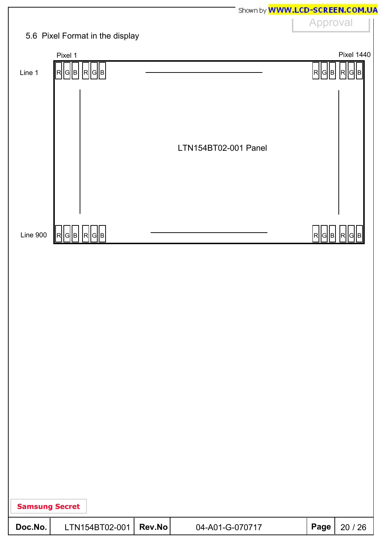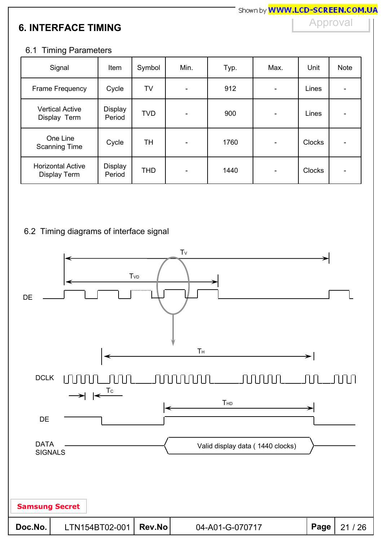## **6. INTERFACE TIMING**

Approval

#### 6.1 Timing Parameters

| Signal                                   | Item              | Symbol     | Min.                     | Typ. | Max.                     | Unit          | <b>Note</b> |
|------------------------------------------|-------------------|------------|--------------------------|------|--------------------------|---------------|-------------|
| Frame Frequency                          | Cycle             | TV         | ٠                        | 912  |                          | Lines         |             |
| <b>Vertical Active</b><br>Display Term   | Display<br>Period | <b>TVD</b> | $\overline{\phantom{a}}$ | 900  | $\overline{\phantom{a}}$ | Lines         |             |
| One Line<br><b>Scanning Time</b>         | Cycle             | TH         | $\overline{\phantom{0}}$ | 1760 |                          | <b>Clocks</b> |             |
| <b>Horizontal Active</b><br>Display Term | Display<br>Period | <b>THD</b> | -                        | 1440 |                          | <b>Clocks</b> |             |

#### 6.2 Timing diagrams of interface signal

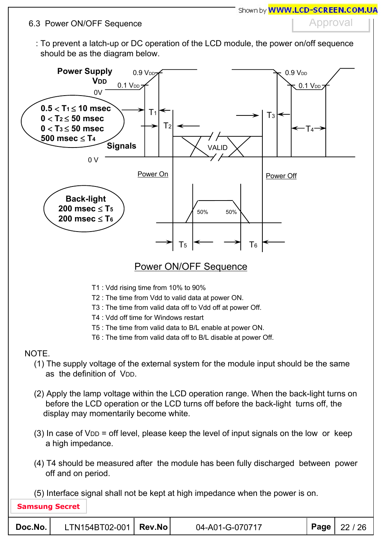#### 6.3 Power ON/OFF Sequence

## Approval

: To prevent a latch-up or DC operation of the LCD module, the power on/off sequence should be as the diagram below.



## Power ON/OFF Sequence

- T1 : Vdd rising time from 10% to 90%
- T2 : The time from Vdd to valid data at power ON.
- T3 : The time from valid data off to Vdd off at power Off.
- T4 : Vdd off time for Windows restart
- T5 : The time from valid data to B/L enable at power ON.
- T6 : The time from valid data off to B/L disable at power Off.

### **NOTE**

- (1) The supply voltage of the external system for the module input should be the same as the definition of V<sub>DD</sub>.
- (2) Apply the lamp voltage within the LCD operation range. When the back-light turns on before the LCD operation or the LCD turns off before the back-light turns off, the display may momentarily become white.
- $(3)$  In case of V<sub>DD</sub> = off level, please keep the level of input signals on the low or keep a high impedance.
- (4) T4 should be measured after the module has been fully discharged between power off and on period.
- (5) Interface signal shall not be kept at high impedance when the power is on.

| Doc.No. | LTN154BT02-001   Rev.No |  | 04-A01-G-070717 |  | <b>Page</b>   22 / 26 |
|---------|-------------------------|--|-----------------|--|-----------------------|
|---------|-------------------------|--|-----------------|--|-----------------------|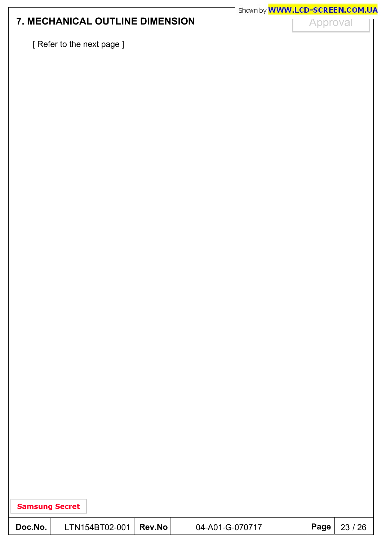## **7. MECHANICAL OUTLINE DIMENSION**

Approval

[ Refer to the next page ]

| <b>Samsung Secret</b> |  |
|-----------------------|--|
|-----------------------|--|

| Doc.No. | $LTN154BT02-001$ Rev.No |  | 04-A01-G-070717 |  | Page   23 / 26 |
|---------|-------------------------|--|-----------------|--|----------------|
|---------|-------------------------|--|-----------------|--|----------------|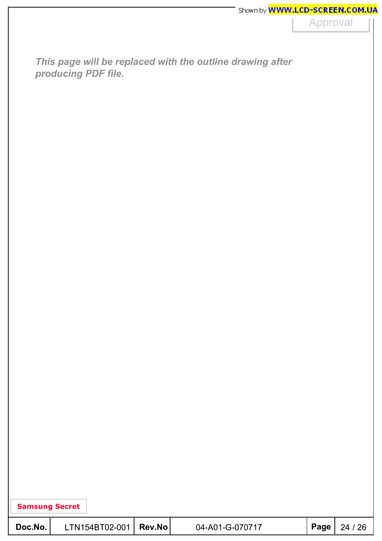Approval

*This page will be replaced with the outline drawing after producing PDF file.*

| Doc.No. | LTN154BT02-001   Rev.No |  | 04-A01-G-070717 |  | $ $ Page $ $ 24 / 26 |
|---------|-------------------------|--|-----------------|--|----------------------|
|---------|-------------------------|--|-----------------|--|----------------------|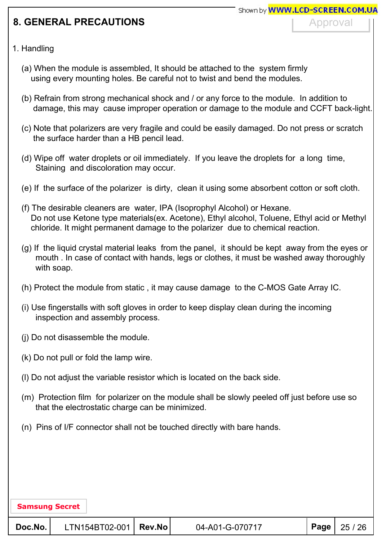## **8. GENERAL PRECAUTIONS**

Approval

#### 1. Handling

- (a) When the module is assembled, It should be attached to the system firmly using every mounting holes. Be careful not to twist and bend the modules.
- (b) Refrain from strong mechanical shock and / or any force to the module. In addition to damage, this may cause improper operation or damage to the module and CCFT back-light.
- (c) Note that polarizers are very fragile and could be easily damaged. Do not press or scratch the surface harder than a HB pencil lead.
- (d) Wipe off water droplets or oil immediately. If you leave the droplets for a long time, Staining and discoloration may occur.
- (e) If the surface of the polarizer is dirty, clean it using some absorbent cotton or soft cloth.
- (f) The desirable cleaners are water, IPA (Isoprophyl Alcohol) or Hexane. Do not use Ketone type materials(ex. Acetone), Ethyl alcohol, Toluene, Ethyl acid or Methyl chloride. It might permanent damage to the polarizer due to chemical reaction.
- (g) If the liquid crystal material leaks from the panel, it should be kept away from the eyes or mouth . In case of contact with hands, legs or clothes, it must be washed away thoroughly with soap.
- (h) Protect the module from static , it may cause damage to the C-MOS Gate Array IC.
- (i) Use fingerstalls with soft gloves in order to keep display clean during the incoming inspection and assembly process.
- (j) Do not disassemble the module.
- (k) Do not pull or fold the lamp wire.
- (l) Do not adjust the variable resistor which is located on the back side.
- (m) Protection film for polarizer on the module shall be slowly peeled off just before use so that the electrostatic charge can be minimized.
- (n) Pins of I/F connector shall not be touched directly with bare hands.